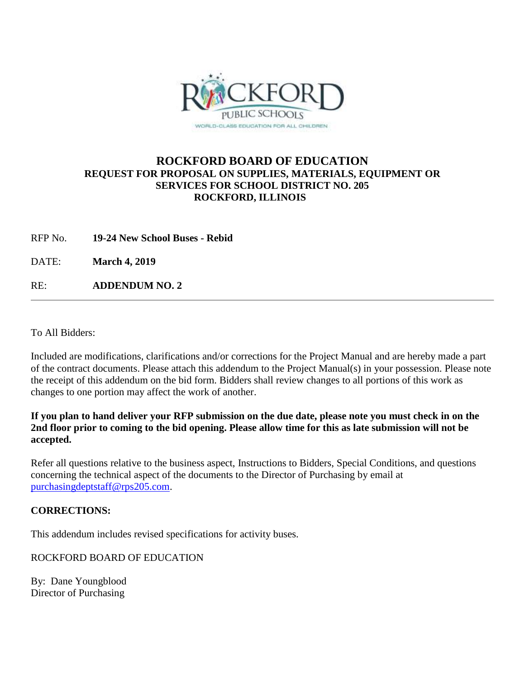

## **ROCKFORD BOARD OF EDUCATION REQUEST FOR PROPOSAL ON SUPPLIES, MATERIALS, EQUIPMENT OR SERVICES FOR SCHOOL DISTRICT NO. 205 ROCKFORD, ILLINOIS**

RFP No. **19-24 New School Buses - Rebid**

DATE: **March 4, 2019**

RE: **ADDENDUM NO. 2**

To All Bidders:

Included are modifications, clarifications and/or corrections for the Project Manual and are hereby made a part of the contract documents. Please attach this addendum to the Project Manual(s) in your possession. Please note the receipt of this addendum on the bid form. Bidders shall review changes to all portions of this work as changes to one portion may affect the work of another.

**If you plan to hand deliver your RFP submission on the due date, please note you must check in on the 2nd floor prior to coming to the bid opening. Please allow time for this as late submission will not be accepted.**

Refer all questions relative to the business aspect, Instructions to Bidders, Special Conditions, and questions concerning the technical aspect of the documents to the Director of Purchasing by email at [purchasingdeptstaff@rps205.com.](mailto:purchasingdeptstaff@rps205.com)

## **CORRECTIONS:**

This addendum includes revised specifications for activity buses.

ROCKFORD BOARD OF EDUCATION

By: Dane Youngblood Director of Purchasing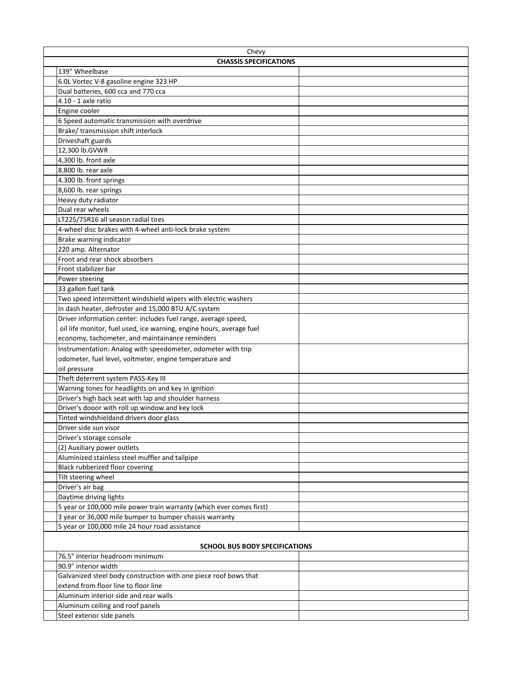| Chevy                                                                                                                                  |  |
|----------------------------------------------------------------------------------------------------------------------------------------|--|
| <b>CHASSIS SPECIFICATIONS</b>                                                                                                          |  |
| 139" Wheelbase                                                                                                                         |  |
| 6.0L Vortec V-8 gasoline engine 323 HP                                                                                                 |  |
| Dual batteries, 600 cca and 770 cca                                                                                                    |  |
| $4.10 - 1$ axle ratio                                                                                                                  |  |
| Engine cooler                                                                                                                          |  |
| 6 Speed automatic transmission with overdrive                                                                                          |  |
| Brake/transmission shift interlock                                                                                                     |  |
| Driveshaft guards                                                                                                                      |  |
| 12,300 lb.GVWR                                                                                                                         |  |
| 4.300 lb. front axle                                                                                                                   |  |
| 8.800 lb. rear axle                                                                                                                    |  |
| 4.300 lb. front springs                                                                                                                |  |
| 8,600 lb. rear springs                                                                                                                 |  |
| Heavy duty radiator                                                                                                                    |  |
| Dual rear wheels                                                                                                                       |  |
| LT225/75R16 all season radial tires                                                                                                    |  |
| 4-wheel disc brakes with 4-wheel anti-lock brake system                                                                                |  |
| Brake warning indicator                                                                                                                |  |
| 220 amp. Alternator                                                                                                                    |  |
| Front and rear shock absorbers                                                                                                         |  |
| Front stabilizer bar                                                                                                                   |  |
| Power steering                                                                                                                         |  |
| 33 gallon fuel tank                                                                                                                    |  |
| Two speed intermittent windshield wipers with electric washers                                                                         |  |
| In dash heater, defroster and 15,000 BTU A/C system                                                                                    |  |
| Driver information center: includes fuel range, average speed,<br>oil life monitor, fuel used, ice warning, engine hours, average fuel |  |
| economy, tachometer, and maintainance reminders                                                                                        |  |
| Instrumentation: Analog with speedometer, odometer with trip                                                                           |  |
| odometer, fuel level, voltmeter, engine temperature and                                                                                |  |
| oil pressure                                                                                                                           |  |
| Theft deterrent system PASS-Key III                                                                                                    |  |
| Warning tones for headlights on and key in ignition                                                                                    |  |
| Driver's high back seat with lap and shoulder harness                                                                                  |  |
| Driver's dooor with roll up window and key lock                                                                                        |  |
| Tinted windshieldand drivers door glass                                                                                                |  |
| Driver side sun visor                                                                                                                  |  |
| Driver's storage console                                                                                                               |  |
| (2) Auxiliary power outlets                                                                                                            |  |
| Aluminized stainless steel muffler and tailpipe                                                                                        |  |
| Black rubberized floor covering                                                                                                        |  |
| Tilt steering wheel                                                                                                                    |  |
| Driver's air bag                                                                                                                       |  |
| Daytime driving lights                                                                                                                 |  |
| 5 year or 100,000 mile power train warranty (which ever comes first)                                                                   |  |
| 3 year or 36,000 mile bumper to bumper chassis warranty                                                                                |  |
| 5 year or 100,000 mile 24 hour road assistance                                                                                         |  |
| <b>SCHOOL BUS BODY SPECIFICATIONS</b>                                                                                                  |  |
| 76.5" Interior headroom minimum                                                                                                        |  |
| 90.9" interior width                                                                                                                   |  |
| Galvanized steel body construction with one piece roof bows that                                                                       |  |
| extend from floor line to floor line                                                                                                   |  |
| Aluminum interior side and rear walls                                                                                                  |  |
| Aluminum ceiling and roof panels                                                                                                       |  |
| Steel exterior side panels                                                                                                             |  |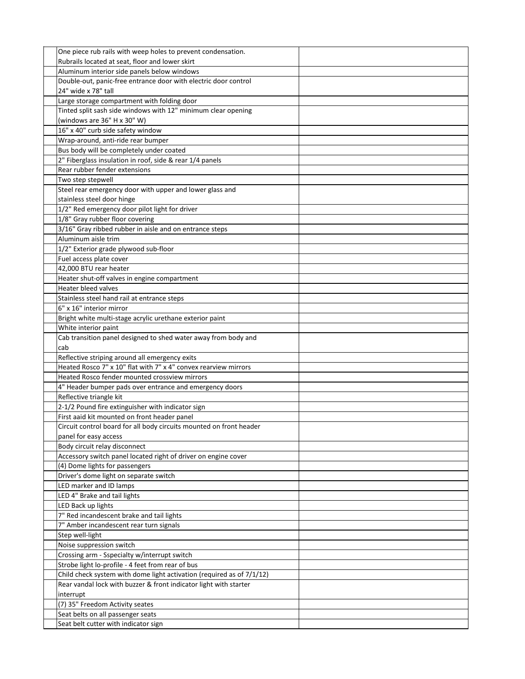| One piece rub rails with weep holes to prevent condensation.          |  |
|-----------------------------------------------------------------------|--|
| Rubrails located at seat, floor and lower skirt                       |  |
| Aluminum interior side panels below windows                           |  |
| Double-out, panic-free entrance door with electric door control       |  |
| 24" wide x 78" tall                                                   |  |
| Large storage compartment with folding door                           |  |
| Tinted split sash side windows with 12" minimum clear opening         |  |
| (windows are 36" H x 30" W)                                           |  |
| 16" x 40" curb side safety window                                     |  |
|                                                                       |  |
| Wrap-around, anti-ride rear bumper                                    |  |
| Bus body will be completely under coated                              |  |
| 2" Fiberglass insulation in roof, side & rear 1/4 panels              |  |
| Rear rubber fender extensions                                         |  |
| Two step stepwell                                                     |  |
| Steel rear emergency door with upper and lower glass and              |  |
| stainless steel door hinge                                            |  |
| 1/2" Red emergency door pilot light for driver                        |  |
| 1/8" Gray rubber floor covering                                       |  |
| 3/16" Gray ribbed rubber in aisle and on entrance steps               |  |
| Aluminum aisle trim                                                   |  |
| 1/2" Exterior grade plywood sub-floor                                 |  |
| Fuel access plate cover                                               |  |
| 42,000 BTU rear heater                                                |  |
| Heater shut-off valves in engine compartment                          |  |
| Heater bleed valves                                                   |  |
| Stainless steel hand rail at entrance steps                           |  |
| 6" x 16" interior mirror                                              |  |
| Bright white multi-stage acrylic urethane exterior paint              |  |
| White interior paint                                                  |  |
| Cab transition panel designed to shed water away from body and        |  |
| cab                                                                   |  |
| Reflective striping around all emergency exits                        |  |
| Heated Rosco 7" x 10" flat with 7" x 4" convex rearview mirrors       |  |
| Heated Rosco fender mounted crossview mirrors                         |  |
| 4" Header bumper pads over entrance and emergency doors               |  |
| Reflective triangle kit                                               |  |
| 2-1/2 Pound fire extinguisher with indicator sign                     |  |
| First aaid kit mounted on front header panel                          |  |
| Circuit control board for all body circuits mounted on front header   |  |
| panel for easy access                                                 |  |
| Body circuit relay disconnect                                         |  |
| Accessory switch panel located right of driver on engine cover        |  |
| (4) Dome lights for passengers                                        |  |
| Driver's dome light on separate switch                                |  |
| LED marker and ID lamps                                               |  |
| LED 4" Brake and tail lights                                          |  |
| LED Back up lights                                                    |  |
| 7" Red incandescent brake and tail lights                             |  |
| 7" Amber incandescent rear turn signals                               |  |
| Step well-light                                                       |  |
| Noise suppression switch                                              |  |
| Crossing arm - Sspecialty w/interrupt switch                          |  |
| Strobe light lo-profile - 4 feet from rear of bus                     |  |
| Child check system with dome light activation (required as of 7/1/12) |  |
| Rear vandal lock with buzzer & front indicator light with starter     |  |
| interrupt                                                             |  |
| (7) 35" Freedom Activity seates                                       |  |
| Seat belts on all passenger seats                                     |  |
| Seat belt cutter with indicator sign                                  |  |